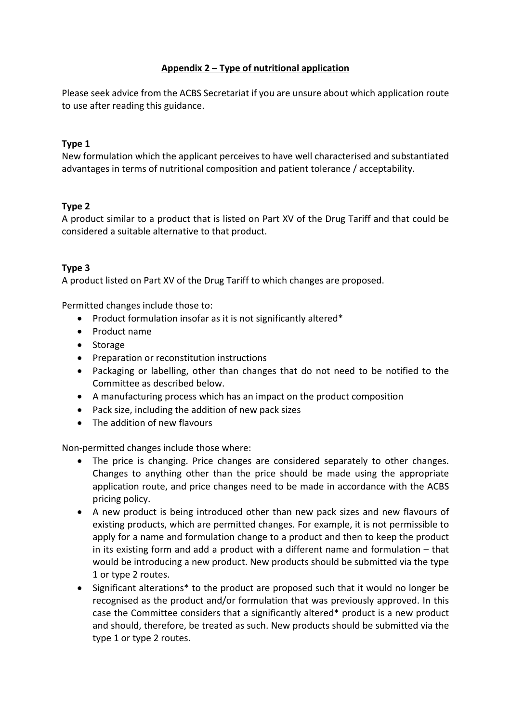# **Appendix 2 – Type of nutritional application**

Please seek advice from the ACBS Secretariat if you are unsure about which application route to use after reading this guidance.

## **Type 1**

New formulation which the applicant perceives to have well characterised and substantiated advantages in terms of nutritional composition and patient tolerance / acceptability.

### **Type 2**

A product similar to a product that is listed on Part XV of the Drug Tariff and that could be considered a suitable alternative to that product.

### **Type 3**

A product listed on Part XV of the Drug Tariff to which changes are proposed.

Permitted changes include those to:

- Product formulation insofar as it is not significantly altered\*
- Product name
- Storage
- Preparation or reconstitution instructions
- Packaging or labelling, other than changes that do not need to be notified to the Committee as described below.
- A manufacturing process which has an impact on the product composition
- Pack size, including the addition of new pack sizes
- The addition of new flavours

Non-permitted changes include those where:

- The price is changing. Price changes are considered separately to other changes. Changes to anything other than the price should be made using the appropriate application route, and price changes need to be made in accordance with the ACBS pricing policy.
- A new product is being introduced other than new pack sizes and new flavours of existing products, which are permitted changes. For example, it is not permissible to apply for a name and formulation change to a product and then to keep the product in its existing form and add a product with a different name and formulation – that would be introducing a new product. New products should be submitted via the type 1 or type 2 routes.
- Significant alterations\* to the product are proposed such that it would no longer be recognised as the product and/or formulation that was previously approved. In this case the Committee considers that a significantly altered\* product is a new product and should, therefore, be treated as such. New products should be submitted via the type 1 or type 2 routes.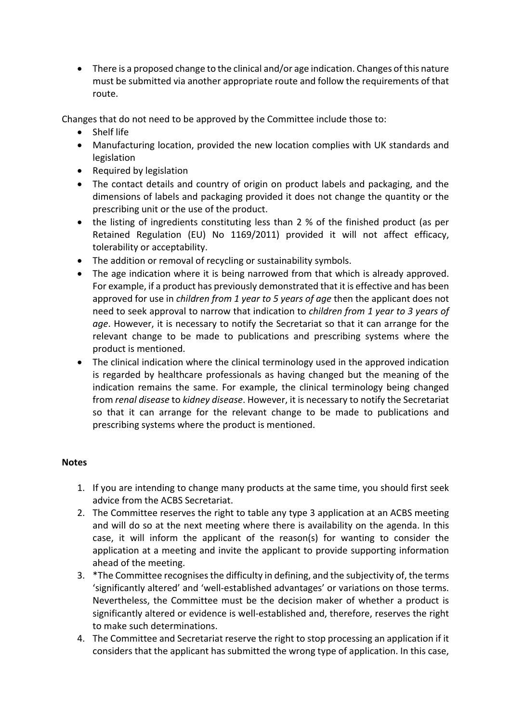• There is a proposed change to the clinical and/or age indication. Changes of this nature must be submitted via another appropriate route and follow the requirements of that route.

Changes that do not need to be approved by the Committee include those to:

- Shelf life
- Manufacturing location, provided the new location complies with UK standards and legislation
- Required by legislation
- The contact details and country of origin on product labels and packaging, and the dimensions of labels and packaging provided it does not change the quantity or the prescribing unit or the use of the product.
- the listing of ingredients constituting less than 2 % of the finished product (as per Retained Regulation (EU) No 1169/2011) provided it will not affect efficacy, tolerability or acceptability.
- The addition or removal of recycling or sustainability symbols.
- The age indication where it is being narrowed from that which is already approved. For example, if a product has previously demonstrated that it is effective and has been approved for use in *children from 1 year to 5 years of age* then the applicant does not need to seek approval to narrow that indication to *children from 1 year to 3 years of age*. However, it is necessary to notify the Secretariat so that it can arrange for the relevant change to be made to publications and prescribing systems where the product is mentioned.
- The clinical indication where the clinical terminology used in the approved indication is regarded by healthcare professionals as having changed but the meaning of the indication remains the same. For example, the clinical terminology being changed from *renal disease* to *kidney disease*. However, it is necessary to notify the Secretariat so that it can arrange for the relevant change to be made to publications and prescribing systems where the product is mentioned.

## **Notes**

- 1. If you are intending to change many products at the same time, you should first seek advice from the ACBS Secretariat.
- 2. The Committee reserves the right to table any type 3 application at an ACBS meeting and will do so at the next meeting where there is availability on the agenda. In this case, it will inform the applicant of the reason(s) for wanting to consider the application at a meeting and invite the applicant to provide supporting information ahead of the meeting.
- 3. \*The Committee recognises the difficulty in defining, and the subjectivity of, the terms 'significantly altered' and 'well-established advantages' or variations on those terms. Nevertheless, the Committee must be the decision maker of whether a product is significantly altered or evidence is well-established and, therefore, reserves the right to make such determinations.
- 4. The Committee and Secretariat reserve the right to stop processing an application if it considers that the applicant has submitted the wrong type of application. In this case,